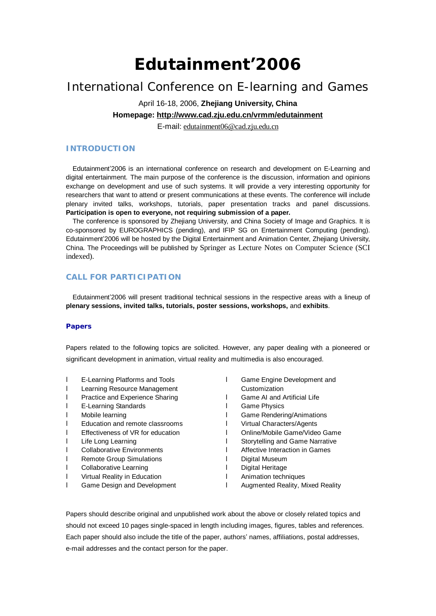# **Edutainment'2006**

## International Conference on E-learning and Games

## April 16-18, 2006, **Zhejiang University, China**

### **Homepage:<http://www.cad.zju.edu.cn/vrmm/edutainment>**

E-mail: [edutainment06@cad.zju.edu.cn](mailto:edutainment06@cad.zju.edu.cn)

#### **INTRODUCTION**

Edutainment'2006 is an international conference on research and development on E-Learning and digital entertainment. The main purpose of the conference is the discussion, information and opinions exchange on development and use of such systems. It will provide a very interesting opportunity for researchers that want to attend or present communications at these events. The conference will include plenary invited talks, workshops, tutorials, paper presentation tracks and panel discussions. **Participation is open to everyone, not requiring submission of a paper.** 

The conference is sponsored by Zhejiang University, and China Society of Image and Graphics. It is co-sponsored by EUROGRAPHICS (pending), and IFIP SG on Entertainment Computing (pending). Edutainment'2006 will be hosted by the Digital Entertainment and Animation Center, Zhejiang University, China. The Proceedings will be published by Springer as Lecture Notes on Computer Science (SCI indexed).

#### **CALL FOR PARTICIPATION**

Edutainment'2006 will present traditional technical sessions in the respective areas with a lineup of **plenary sessions, invited talks, tutorials, poster sessions, workshops,** and **exhibits**.

#### **Papers**

Papers related to the following topics are solicited. However, any paper dealing with a pioneered or significant development in animation, virtual reality and multimedia is also encouraged.

- l E-Learning Platforms and Tools
- l Learning Resource Management
- **I** Practice and Experience Sharing
- l E-Learning Standards
- l Mobile learning
- l Education and remote classrooms
- l Effectiveness of VR for education
- l Life Long Learning
- l Collaborative Environments
- l Remote Group Simulations
- **I** Collaborative Learning
- **I** Virtual Reality in Education
- **I** Game Design and Development
- **I** Game Engine Development and **Customization**
- **I** Game AI and Artificial Life
- l Game Physics
- l Game Rendering/Animations
- l Virtual Characters/Agents
- l Online/Mobile Game/Video Game
- **I** Storytelling and Game Narrative
- l Affective Interaction in Games
- l Digital Museum
- l Digital Heritage
- l Animation techniques
- l Augmented Reality, Mixed Reality

Papers should describe original and unpublished work about the above or closely related topics and should not exceed 10 pages single-spaced in length including images, figures, tables and references. Each paper should also include the title of the paper, authors' names, affiliations, postal addresses, e-mail addresses and the contact person for the paper.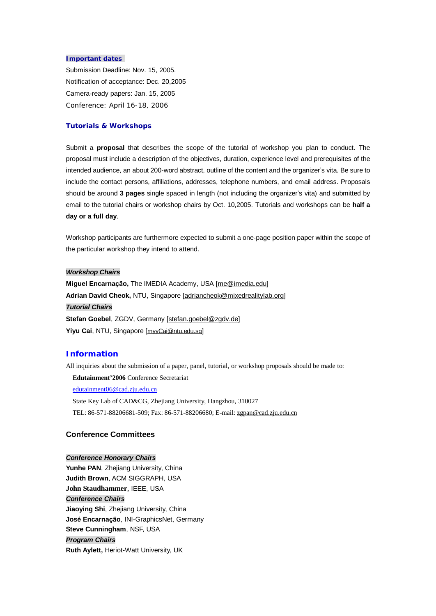#### *Important dates*

Submission Deadline: Nov. 15, 2005. Notification of acceptance: Dec. 20,2005 Camera-ready papers: Jan. 15, 2005 Conference: April 16-18, 2006

#### **Tutorials & Workshops**

Submit a **proposal** that describes the scope of the tutorial of workshop you plan to conduct. The proposal must include a description of the objectives, duration, experience level and prerequisites of the intended audience, an about 200-word abstract, outline of the content and the organizer's vita. Be sure to include the contact persons, affiliations, addresses, telephone numbers, and email address. Proposals should be around **3 pages** single spaced in length (not including the organizer's vita) and submitted by email to the tutorial chairs or workshop chairs by Oct. 10,2005. Tutorials and workshops can be **half a day or a full day**.

Workshop participants are furthermore expected to submit a one-page position paper within the scope of the particular workshop they intend to attend.

#### *Workshop Chairs*

**Miguel Encarnação,** The IMEDIA Academy, USA [\[me@imedia.edu](mailto:me@imedia.edu)] **Adrian David Cheok,** NTU, Singapore [[adriancheok@mixedrealitylab.org\]](mailto:adriancheok@mixedrealitylab.org) *Tutorial Chairs* Stefan Goebel, ZGDV, Germany [\[stefan.goebel@zgdv.de](mailto:stefan.goebel@zgdv.de)] Yiyu Cai, NTU, Singapore [[myyCai@ntu.edu.sg](mailto:myyCai@ntu.edu.sg)]

#### **Information**

All inquiries about the submission of a paper, panel, tutorial, or workshop proposals should be made to:

**Edutainment'2006** Conference Secretariat

[edutainment06@cad.zju.edu.cn](mailto:edutainment06@cad.zju.edu.cn)

State Key Lab of CAD&CG, Zhejiang University, Hangzhou, 310027 TEL: 86-571-88206681-509; Fax: 86-571-88206680; E-mail: [zgpan@cad.zju.edu.cn](mailto:zgpan@cad.zju.edu.cn)

#### **Conference Committees**

#### *Conference Honorary Chairs*

**Yunhe PAN**, Zhejiang University, China **Judith Brown**, ACM SIGGRAPH, USA **John Staudhammer**, IEEE, USA *Conference Chairs* **Jiaoying Shi**, Zhejiang University, China **José Encarnação**, INI-GraphicsNet, Germany **Steve Cunningham**, NSF, USA *Program Chairs* **Ruth Aylett,** Heriot-Watt University, UK